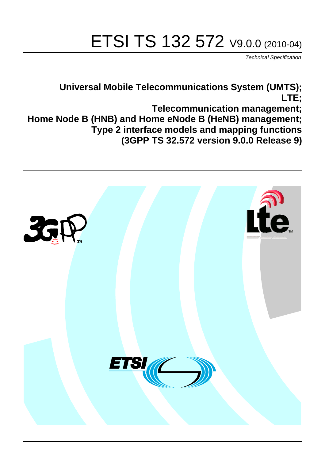# ETSI TS 132 572 V9.0.0 (2010-04)

*Technical Specification*

**Universal Mobile Telecommunications System (UMTS); LTE; Telecommunication management; Home Node B (HNB) and Home eNode B (HeNB) management; Type 2 interface models and mapping functions (3GPP TS 32.572 version 9.0.0 Release 9)**

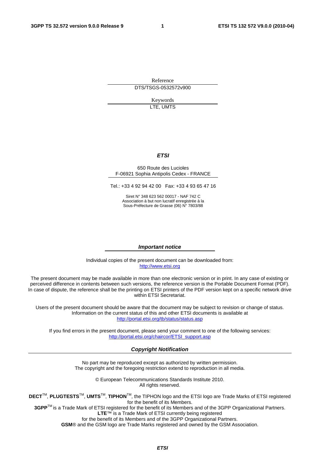Reference DTS/TSGS-0532572v900

> Keywords LTE, UMTS

#### *ETSI*

#### 650 Route des Lucioles F-06921 Sophia Antipolis Cedex - FRANCE

Tel.: +33 4 92 94 42 00 Fax: +33 4 93 65 47 16

Siret N° 348 623 562 00017 - NAF 742 C Association à but non lucratif enregistrée à la Sous-Préfecture de Grasse (06) N° 7803/88

#### *Important notice*

Individual copies of the present document can be downloaded from: [http://www.etsi.org](http://www.etsi.org/)

The present document may be made available in more than one electronic version or in print. In any case of existing or perceived difference in contents between such versions, the reference version is the Portable Document Format (PDF). In case of dispute, the reference shall be the printing on ETSI printers of the PDF version kept on a specific network drive within ETSI Secretariat.

Users of the present document should be aware that the document may be subject to revision or change of status. Information on the current status of this and other ETSI documents is available at <http://portal.etsi.org/tb/status/status.asp>

If you find errors in the present document, please send your comment to one of the following services: [http://portal.etsi.org/chaircor/ETSI\\_support.asp](http://portal.etsi.org/chaircor/ETSI_support.asp)

#### *Copyright Notification*

No part may be reproduced except as authorized by written permission. The copyright and the foregoing restriction extend to reproduction in all media.

> © European Telecommunications Standards Institute 2010. All rights reserved.

**DECT**TM, **PLUGTESTS**TM, **UMTS**TM, **TIPHON**TM, the TIPHON logo and the ETSI logo are Trade Marks of ETSI registered for the benefit of its Members.

**3GPP**TM is a Trade Mark of ETSI registered for the benefit of its Members and of the 3GPP Organizational Partners. **LTE**™ is a Trade Mark of ETSI currently being registered

for the benefit of its Members and of the 3GPP Organizational Partners.

**GSM**® and the GSM logo are Trade Marks registered and owned by the GSM Association.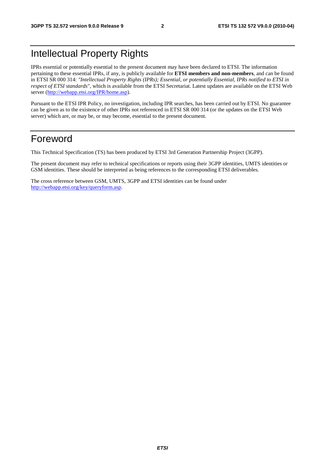### Intellectual Property Rights

IPRs essential or potentially essential to the present document may have been declared to ETSI. The information pertaining to these essential IPRs, if any, is publicly available for **ETSI members and non-members**, and can be found in ETSI SR 000 314: *"Intellectual Property Rights (IPRs); Essential, or potentially Essential, IPRs notified to ETSI in respect of ETSI standards"*, which is available from the ETSI Secretariat. Latest updates are available on the ETSI Web server [\(http://webapp.etsi.org/IPR/home.asp](http://webapp.etsi.org/IPR/home.asp)).

Pursuant to the ETSI IPR Policy, no investigation, including IPR searches, has been carried out by ETSI. No guarantee can be given as to the existence of other IPRs not referenced in ETSI SR 000 314 (or the updates on the ETSI Web server) which are, or may be, or may become, essential to the present document.

### Foreword

This Technical Specification (TS) has been produced by ETSI 3rd Generation Partnership Project (3GPP).

The present document may refer to technical specifications or reports using their 3GPP identities, UMTS identities or GSM identities. These should be interpreted as being references to the corresponding ETSI deliverables.

The cross reference between GSM, UMTS, 3GPP and ETSI identities can be found under [http://webapp.etsi.org/key/queryform.asp.](http://webapp.etsi.org/key/queryform.asp)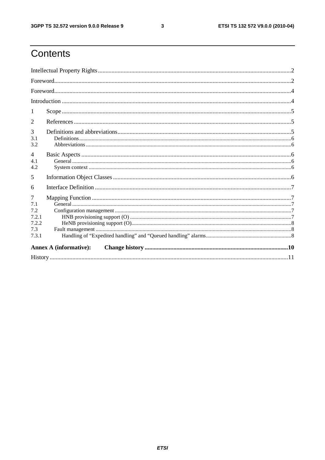$\mathbf{3}$ 

# Contents

| $\mathcal{D}_{\mathcal{L}}$                       |                               |  |  |  |  |  |
|---------------------------------------------------|-------------------------------|--|--|--|--|--|
| 3<br>3.1<br>3.2                                   |                               |  |  |  |  |  |
| $\overline{4}$<br>4.1<br>4.2                      |                               |  |  |  |  |  |
| 5                                                 |                               |  |  |  |  |  |
| 6                                                 |                               |  |  |  |  |  |
| 7<br>7.1<br>7.2<br>7.2.1<br>7.2.2<br>7.3<br>7.3.1 |                               |  |  |  |  |  |
|                                                   | <b>Annex A (informative):</b> |  |  |  |  |  |
|                                                   |                               |  |  |  |  |  |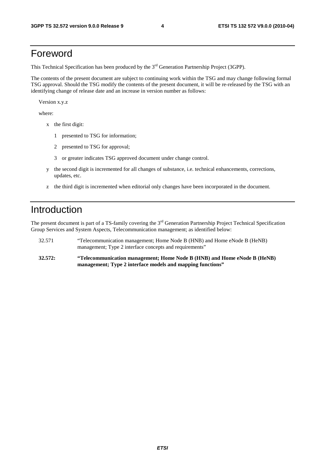### Foreword

This Technical Specification has been produced by the 3<sup>rd</sup> Generation Partnership Project (3GPP).

The contents of the present document are subject to continuing work within the TSG and may change following formal TSG approval. Should the TSG modify the contents of the present document, it will be re-released by the TSG with an identifying change of release date and an increase in version number as follows:

Version x.y.z

where:

- x the first digit:
	- 1 presented to TSG for information;
	- 2 presented to TSG for approval;
	- 3 or greater indicates TSG approved document under change control.
- y the second digit is incremented for all changes of substance, i.e. technical enhancements, corrections, updates, etc.
- z the third digit is incremented when editorial only changes have been incorporated in the document.

### Introduction

The present document is part of a TS-family covering the 3<sup>rd</sup> Generation Partnership Project Technical Specification Group Services and System Aspects, Telecommunication management; as identified below:

- 32.571 "Telecommunication management; Home Node B (HNB) and Home eNode B (HeNB) management; Type 2 interface concepts and requirements"
- **32.572: "Telecommunication management; Home Node B (HNB) and Home eNode B (HeNB) management; Type 2 interface models and mapping functions"**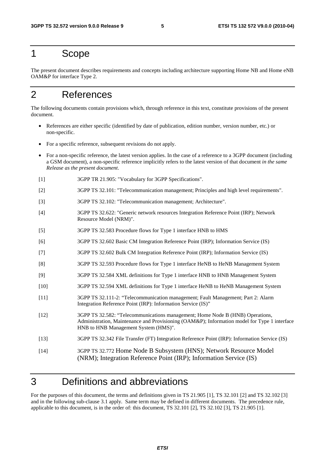### 1 Scope

The present document describes requirements and concepts including architecture supporting Home NB and Home eNB OAM&P for interface Type 2.

### 2 References

The following documents contain provisions which, through reference in this text, constitute provisions of the present document.

- References are either specific (identified by date of publication, edition number, version number, etc.) or non-specific.
- For a specific reference, subsequent revisions do not apply.
- For a non-specific reference, the latest version applies. In the case of a reference to a 3GPP document (including a GSM document), a non-specific reference implicitly refers to the latest version of that document *in the same Release as the present document*.
- [1] 3GPP TR 21.905: "Vocabulary for 3GPP Specifications".
- [2] 3GPP TS 32.101: "Telecommunication management; Principles and high level requirements".
- [3] 3GPP TS 32.102: "Telecommunication management; Architecture".
- [4] 3GPP TS 32.622: "Generic network resources Integration Reference Point (IRP); Network Resource Model (NRM)".
- [5] 3GPP TS 32.583 Procedure flows for Type 1 interface HNB to HMS
- [6] 3GPP TS 32.602 Basic CM Integration Reference Point (IRP); Information Service (IS)
- [7] 3GPP TS 32.602 Bulk CM Integration Reference Point (IRP); Information Service (IS)
- [8] 3GPP TS 32.593 Procedure flows for Type 1 interface HeNB to HeNB Management System
- [9] 3GPP TS 32.584 XML definitions for Type 1 interface HNB to HNB Management System
- [10] 3GPP TS 32.594 XML definitions for Type 1 interface HeNB to HeNB Management System
- [11] 3GPP TS 32.111-2: "Telecommunication management; Fault Management; Part 2: Alarm Integration Reference Point (IRP): Information Service (IS)"
- [12] 3GPP TS 32.582: "Telecommunications management; Home Node B (HNB) Operations, Administration, Maintenance and Provisioning (OAM&P); Information model for Type 1 interface HNB to HNB Management System (HMS)".
- [13] 3GPP TS 32.342 File Transfer (FT) Integration Reference Point (IRP): Information Service (IS)
- [14] 3GPP TS 32.772 Home Node B Subsystem (HNS); Network Resource Model (NRM); Integration Reference Point (IRP); Information Service (IS)

### 3 Definitions and abbreviations

For the purposes of this document, the terms and definitions given in TS 21.905 [1], TS 32.101 [2] and TS 32.102 [3] and in the following sub-clause 3.1 apply. Same term may be defined in different documents. The precedence rule, applicable to this document, is in the order of: this document, TS 32.101 [2], TS 32.102 [3], TS 21.905 [1].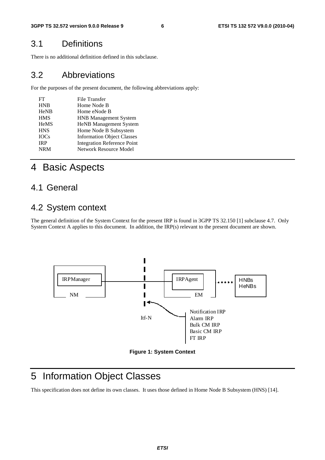### 3.1 Definitions

There is no additional definition defined in this subclause.

### 3.2 Abbreviations

For the purposes of the present document, the following abbreviations apply:

| FT          | <b>File Transfer</b>               |
|-------------|------------------------------------|
| <b>HNB</b>  | Home Node B                        |
| <b>HeNB</b> | Home eNode B                       |
| <b>HMS</b>  | <b>HNB Management System</b>       |
| <b>HeMS</b> | <b>HeNB</b> Management System      |
| <b>HNS</b>  | Home Node B Subsystem              |
| <b>IOCs</b> | <b>Information Object Classes</b>  |
| <b>IRP</b>  | <b>Integration Reference Point</b> |
| <b>NRM</b>  | Network Resource Model             |

### 4 Basic Aspects

### 4.1 General

### 4.2 System context

The general definition of the System Context for the present IRP is found in 3GPP TS 32.150 [1] subclause 4.7. Only System Context A applies to this document. In addition, the IRP(s) relevant to the present document are shown.



#### **Figure 1: System Context**

# 5 Information Object Classes

This specification does not define its own classes. It uses those defined in Home Node B Subsystem (HNS) [14].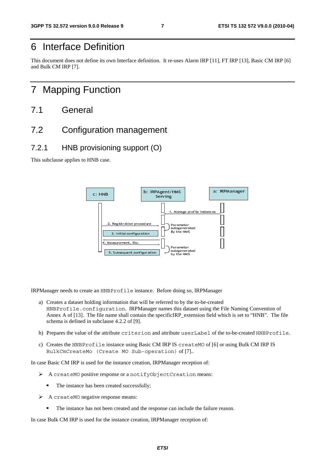## 6 Interface Definition

This document does not define its own Interface definition. It re-uses Alarm IRP [11], FT IRP [13], Basic CM IRP [6] and Bulk CM IRP [7].

### 7 Mapping Function

- 7.1 General
- 7.2 Configuration management
- 7.2.1 HNB provisioning support (O)

This subclause applies to HNB case.



IRPManager needs to create an HNBProfile instance. Before doing so, IRPManager

- For subsequent contracts and spent contracts on the subsequent contracts on the state of the state of the state of the instance crease of a not created success esponse means: been created and the instance created and the i autogenera<br>Autogenera<br>By the HMS<br>Start CIRP\_ex<br>bute use<br>IS creating<br>Only of [7]<br>ager rece<br>Creating<br>an includer rece by the HMS<br>
doing so, I<br>
d to by the t<br>
s this datase<br>
cIRP\_exten<br>
bute userI<br>
IS create<br>
n) of [7]..<br>
ager recept<br>
Creation<br>
an include<br>
ager receptic by the HMS<br>BProfile instance. Before doing so<br>ormation that will be referred to by the<br>ation. IRPManager names this datame shall contain the specificIRP\_ext<br>se 4.2.2 of [9].<br>ibute criterion and attribute use<br>nstance using a) Creates a dataset holding information that will be referred to by the to-be-created HNBProfile.configuration. IRPManager names this dataset using the File Naming Convention of Annex A of [13]. The file name shall contain the specificIRP\_extension field which is set to "HNB". The file schema is defined in subclause 4.2.2 of [9].
- b) Prepares the value of the attribute criterion and attribute userLabel of the to-be-created HNBProfile.
- c) Creates the HNBProfile instance using Basic CM IRP IS createMO of [6] or using Bulk CM IRP IS BulkCmCreateMo (Create MO Sub-operation) of [7]..

In case Basic CM IRP is used for the instance creation, IRPManager reception of:

- <sup>A</sup>createMO positive response or a notifyObjectCreation means:
	- The instance has been created successfully;
- > A createMO negative response means:
	- The instance has not been created and the response can include the failure reason.

In case Bulk CM IRP is used for the instance creation, IRPManager reception of: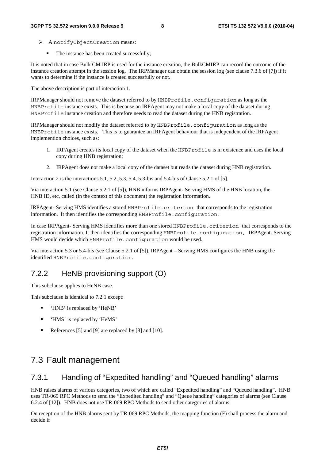- > AnotifyObjectCreation means:
	- The instance has been created successfully;

It is noted that in case Bulk CM IRP is used for the instance creation, the BulkCMIRP can record the outcome of the instance creation attempt in the session log. The IRPManager can obtain the session log (see clause 7.3.6 of [7]) if it wants to determine if the instance is created successfully or not.

The above description is part of interaction 1.

IRPManager should not remove the dataset referred to by HNBProfile.configuration as long as the HNBProfile instance exists. This is because an IRPAgent may not make a local copy of the dataset during HNBProfile instance creation and therefore needs to read the dataset during the HNB registration.

IRPManager should not modify the dataset referred to by HNBProfile.configuration as long as the HNBProfile instance exists. This is to guarantee an IRPAgent behaviour that is independent of the IRPAgent implemention choices, such as:

- 1. IRPAgent creates its local copy of the dataset when the HNBProfile is in existence and uses the local copy during HNB registration;
- 2. IRPAgent does not make a local copy of the dataset but reads the dataset during HNB registration.

Interaction 2 is the interactions 5.1, 5.2, 5.3, 5.4, 5.3-bis and 5.4-bis of Clause 5.2.1 of [5].

Via interaction 5.1 (see Clause 5.2.1 of [5]), HNB informs IRPAgent- Serving HMS of the HNB location, the HNB ID, etc, called (in the context of this document) the registration information.

IRPAgent- Serving HMS identifies a stored HNBProfile.criterion that corresponds to the registration information. It then identifies the corresponding HNBProfile.configuration.

In case IRPAgent- Serving HMS identifies more than one stored HNBProfile.criterion that corresponds to the registration information. It then identifies the corresponding HNBProfile.configuration, IRPAgent- Serving HMS would decide which HNBProfile.configuration would be used.

Via interaction 5.3 or 5.4-bis (see Clause 5.2.1 of [5]), IRPAgent – Serving HMS configures the HNB using the identified HNBProfile.configuration.

### 7.2.2 HeNB provisioning support (O)

This subclause applies to HeNB case.

This subclause is identical to 7.2.1 except:

- 'HNB' is replaced by 'HeNB'
- 'HMS' is replaced by 'HeMS'
- References [5] and [9] are replaced by [8] and [10].

### 7.3 Fault management

### 7.3.1 Handling of "Expedited handling" and "Queued handling" alarms

HNB raises alarms of various categories, two of which are called "Expedited handling" and "Queued handling". HNB uses TR-069 RPC Methods to send the "Expedited handling" and "Queue handling" categories of alarms (see Clause 6.2.4 of [12]). HNB does not use TR-069 RPC Methods to send other categories of alarms.

On reception of the HNB alarms sent by TR-069 RPC Methods, the mapping function (F) shall process the alarm and decide if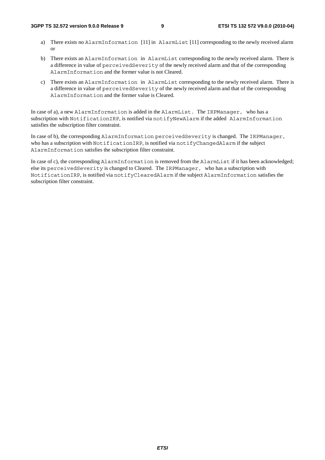- a) There exists no AlarmInformation [11] in AlarmList [11] corresponding to the newly received alarm or
- b) There exists an AlarmInformation in AlarmList corresponding to the newly received alarm. There is a difference in value of perceivedSeverity of the newly received alarm and that of the corresponding AlarmInformation and the former value is not Cleared.
- c) There exists an AlarmInformation in AlarmList corresponding to the newly received alarm. There is a difference in value of perceivedSeverity of the newly received alarm and that of the corresponding AlarmInformation and the former value is Cleared.

In case of a), a new AlarmInformation is added in the AlarmList. The IRPManager, who has a subscription with NotificationIRP, is notified via notifyNewAlarm if the added AlarmInformation satisfies the subscription filter constraint.

In case of b), the corresponding AlarmInformation perceivedSeverity is changed. The IRPManager, who has a subscription with NotificationIRP, is notified via notifyChangedAlarm if the subject AlarmInformation satisfies the subscription filter constraint.

In case of c), the corresponding AlarmInformation is removed from the AlarmList if it has been acknowledged; else its perceivedSeverity is changed to Cleared. The IRPManager, who has a subscription with NotificationIRP, is notified via notifyClearedAlarm if the subject AlarmInformation satisfies the subscription filter constraint.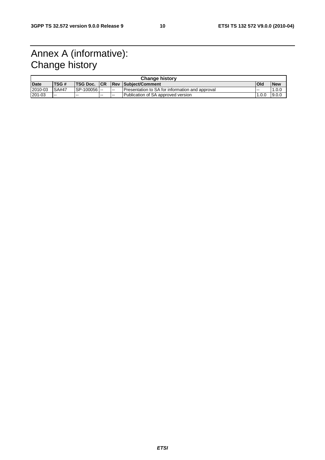# Annex A (informative): Change history

| <b>Change history</b> |               |             |            |        |                                                   |            |            |  |
|-----------------------|---------------|-------------|------------|--------|---------------------------------------------------|------------|------------|--|
| <b>Date</b>           | <b>TSG#</b>   | 'TSG Doc.   | <b>ICR</b> |        | <b>Rev Subject/Comment</b>                        | <b>Old</b> | <b>New</b> |  |
| 2010-03               | <b>ISA#47</b> | SP-100056 - |            | $\sim$ | I Presentation to SA for information and approval | .          | .0.0       |  |
| 201-03                | $- -$         | $- -$       | $- -$      | $\sim$ | Publication of SA approved version                | .0.0       | 9.0.0      |  |